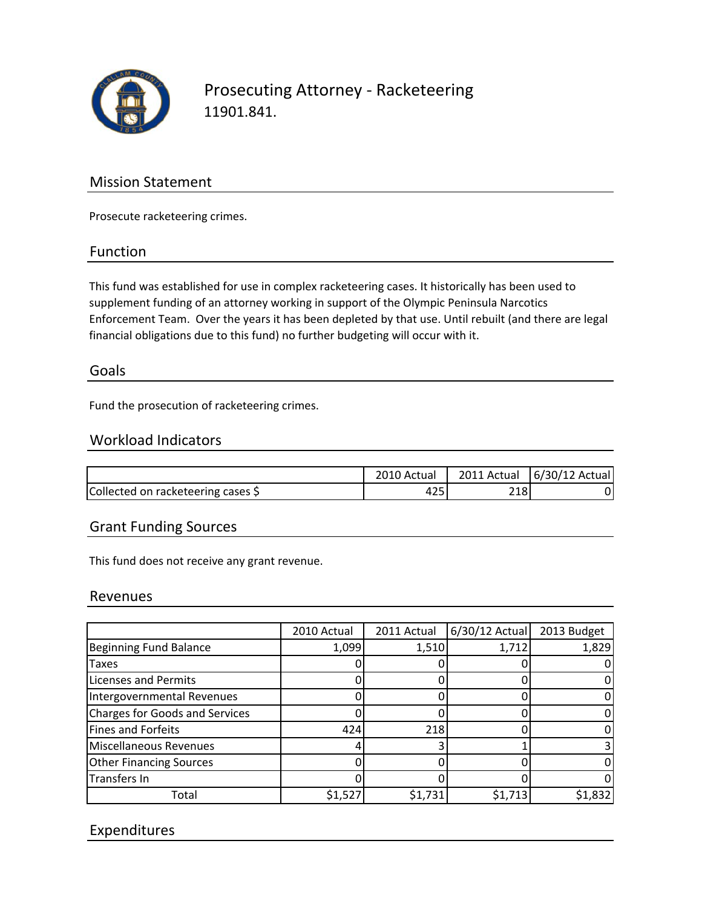

## Prosecuting Attorney ‐ Racketeering 11901.841.

## Mission Statement

Prosecute racketeering crimes.

#### Function

This fund was established for use in complex racketeering cases. It historically has been used to supplement funding of an attorney working in support of the Olympic Peninsula Narcotics Enforcement Team. Over the years it has been depleted by that use. Until rebuilt (and there are legal financial obligations due to this fund) no further budgeting will occur with it.

#### Goals

Fund the prosecution of racketeering crimes.

#### Workload Indicators

|                                    | 2010 Actual |      | 2011 Actual   6/30/12 Actual |
|------------------------------------|-------------|------|------------------------------|
| Collected on racketeering cases \$ | 425         | 2181 |                              |

#### Grant Funding Sources

This fund does not receive any grant revenue.

#### Revenues

|                                       | 2010 Actual | 2011 Actual | 6/30/12 Actual | 2013 Budget |
|---------------------------------------|-------------|-------------|----------------|-------------|
| Beginning Fund Balance                | 1,099       | 1,510       | 1,712          | 1,829       |
| Taxes                                 |             |             |                |             |
| <b>Licenses and Permits</b>           |             |             |                |             |
| Intergovernmental Revenues            |             |             |                |             |
| <b>Charges for Goods and Services</b> |             |             |                |             |
| Fines and Forfeits                    | 424         | 218         |                |             |
| <b>Miscellaneous Revenues</b>         |             |             |                |             |
| <b>Other Financing Sources</b>        |             |             |                |             |
| Transfers In                          |             |             |                |             |
| Total                                 | \$1,527     | \$1,731     | \$1,713        | \$1,832     |

### Expenditures